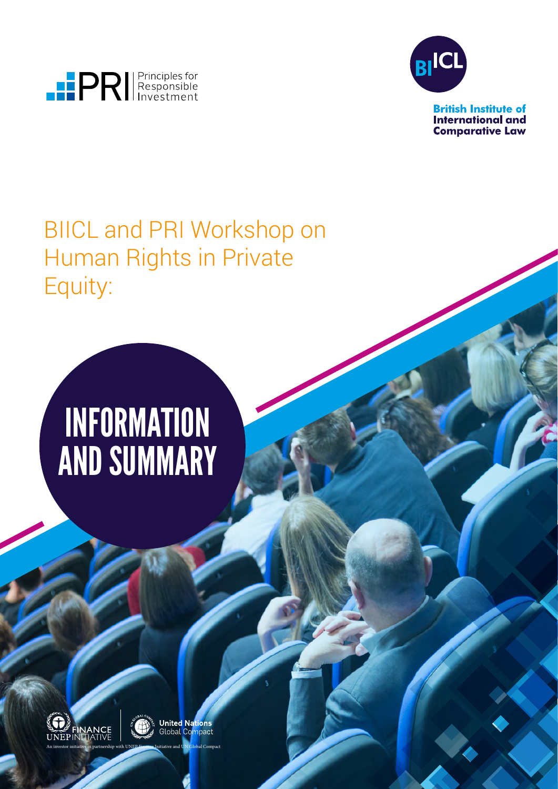



**British Institute of International and Comparative Law** 

### BIICL and PRI Workshop on Human Rights in Private Equity:

## **INFORMATION** AND SUMMARY





**United Nations**<br>Global Compact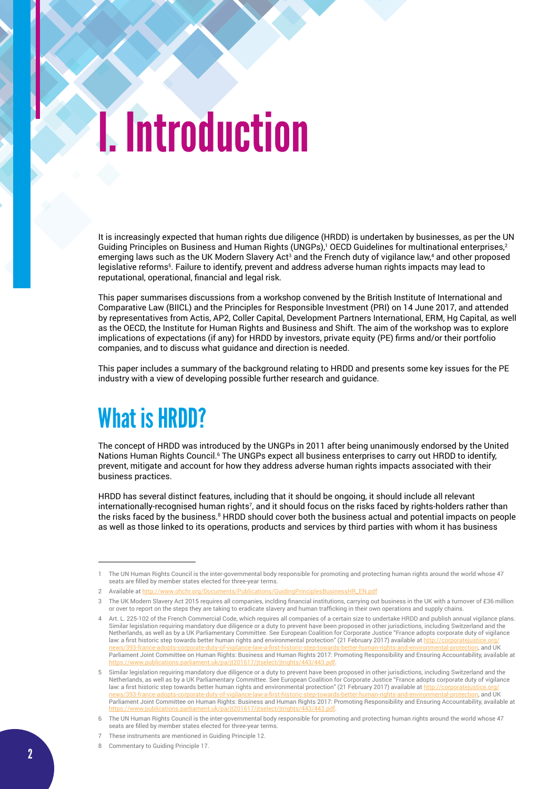## I. Introduction

It is increasingly expected that human rights due diligence (HRDD) is undertaken by businesses, as per the UN Guiding Principles on Business and Human Rights (UNGPs),<sup>1</sup> OECD Guidelines for multinational enterprises,<sup>2</sup> emerging laws such as the UK Modern Slavery Act<sup>3</sup> and the French duty of vigilance law,<sup>4</sup> and other proposed legislative reforms<sup>5</sup>. Failure to identify, prevent and address adverse human rights impacts may lead to reputational, operational, financial and legal risk.

This paper summarises discussions from a workshop convened by the British Institute of International and Comparative Law (BIICL) and the Principles for Responsible Investment (PRI) on 14 June 2017, and attended by representatives from Actis, AP2, Coller Capital, Development Partners International, ERM, Hg Capital, as well as the OECD, the Institute for Human Rights and Business and Shift. The aim of the workshop was to explore implications of expectations (if any) for HRDD by investors, private equity (PE) firms and/or their portfolio companies, and to discuss what guidance and direction is needed.

This paper includes a summary of the background relating to HRDD and presents some key issues for the PE industry with a view of developing possible further research and guidance.

### What is HRDD?

The concept of HRDD was introduced by the UNGPs in 2011 after being unanimously endorsed by the United Nations Human Rights Council.<sup>6</sup> The UNGPs expect all business enterprises to carry out HRDD to identify, prevent, mitigate and account for how they address adverse human rights impacts associated with their business practices.

HRDD has several distinct features, including that it should be ongoing, it should include all relevant internationally-recognised human rights7 , and it should focus on the risks faced by rights-holders rather than the risks faced by the business.8 HRDD should cover both the business actual and potential impacts on people as well as those linked to its operations, products and services by third parties with whom it has business

<sup>1</sup> The UN Human Rights Council is the inter-governmental body responsible for promoting and protecting human rights around the world whose 47 seats are filled by member states elected for three-year terms.

<sup>2</sup> Available at [http://www.ohchr.org/Documents/Publications/GuidingPrinciplesBusinessHR\\_EN.pdf](http://www.ohchr.org/Documents/Publications/GuidingPrinciplesBusinessHR_EN.pdf)

<sup>3</sup> The UK Modern Slavery Act 2015 requires all companies, inclding financial institutions, carrying out business in the UK with a turnover of £36 million or over to report on the steps they are taking to eradicate slavery and human trafficking in their own operations and supply chains.

<sup>4</sup> Art. L. 225-102 of the French Commercial Code, which requires all companies of a certain size to undertake HRDD and publish annual vigilance plans. Similar legislation requiring mandatory due diligence or a duty to prevent have been proposed in other jurisdictions, including Switzerland and the Netherlands, as well as by a UK Parliamentary Committee. See European Coalition for Corporate Justice "France adopts corporate duty of vigilance law: a first historic step towards better human rights and environmental protection" (21 February 2017) available at http:// <u>[news/393-france-adopts-corporate-duty-of-vigilance-law-a-first-historic-step-towards-better-human-rights-and-environmental-protection](http://corporatejustice.org/news/393-france-adopts-corporate-duty-of-vigilance-law-a-first-historic-step-towards-better-human-rights-and-environmental-protection)</u>, and UK<br>Parliament Joint Committee on Human Rights: Business and Human Rights 2017: Pr <https://www.publications.parliament.uk/pa/jt201617/jtselect/jtrights/443/443.pdf>.

<sup>5</sup> Similar legislation requiring mandatory due diligence or a duty to prevent have been proposed in other jurisdictions, including Switzerland and the Netherlands, as well as by a UK Parliamentary Committee. See European Coalition for Corporate Justice "France adopts corporate duty of vigilance law: a first historic step towards better human rights and environmental protection" (21 February 2017) available at <u>http://corporatejustice.org/</u><br>news/393-france-adonts-corporate-duty-of-vigilance-law-a-first-historic-st [news/393-france-adopts-corporate-duty-of-vigilance-law-a-first-historic-step-towards-better-human-rights-and-environmental-protection](http://corporatejustice.org/news/393-france-adopts-corporate-duty-of-vigilance-law-a-first-historic-step-towards-better-human-rights-and-environmental-protection), and UK Parliament Joint Committee on Human Rights: Business and Human Rights 2017: Promoting Responsibility and Ensuring Accountability, available at <https://www.publications.parliament.uk/pa/jt201617/jtselect/jtrights/443/443.pdf>.

<sup>6</sup> The UN Human Rights Council is the inter-governmental body responsible for promoting and protecting human rights around the world whose 47 seats are filled by member states elected for three-year terms.

<sup>7</sup> These instruments are mentioned in Guiding Principle 12.

<sup>8</sup> Commentary to Guiding Principle 17.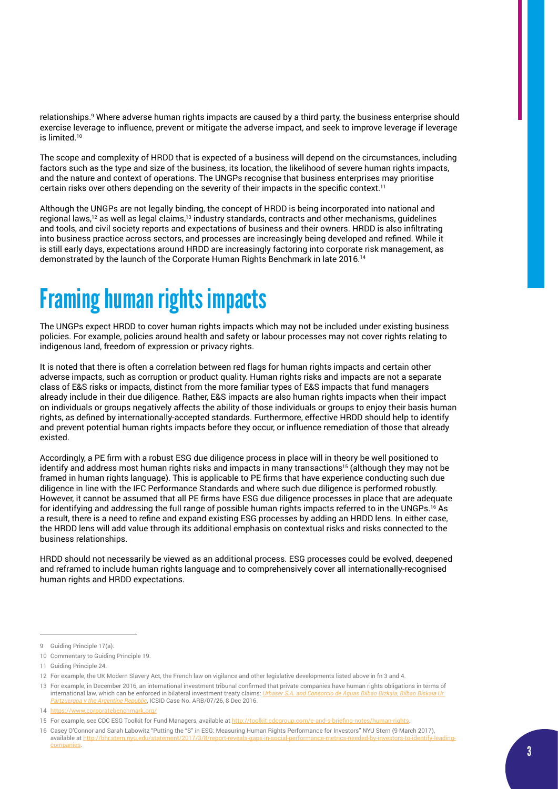relationships.<sup>9</sup> Where adverse human rights impacts are caused by a third party, the business enterprise should exercise leverage to influence, prevent or mitigate the adverse impact, and seek to improve leverage if leverage is limited.<sup>10</sup>

The scope and complexity of HRDD that is expected of a business will depend on the circumstances, including factors such as the type and size of the business, its location, the likelihood of severe human rights impacts, and the nature and context of operations. The UNGPs recognise that business enterprises may prioritise certain risks over others depending on the severity of their impacts in the specific context.<sup>11</sup>

Although the UNGPs are not legally binding, the concept of HRDD is being incorporated into national and regional laws,12 as well as legal claims,13 industry standards, contracts and other mechanisms, guidelines and tools, and civil society reports and expectations of business and their owners. HRDD is also infiltrating into business practice across sectors, and processes are increasingly being developed and refined. While it is still early days, expectations around HRDD are increasingly factoring into corporate risk management, as demonstrated by the launch of the Corporate Human Rights Benchmark in late 2016.14

## Framing human rights impacts

The UNGPs expect HRDD to cover human rights impacts which may not be included under existing business policies. For example, policies around health and safety or labour processes may not cover rights relating to indigenous land, freedom of expression or privacy rights.

It is noted that there is often a correlation between red flags for human rights impacts and certain other adverse impacts, such as corruption or product quality. Human rights risks and impacts are not a separate class of E&S risks or impacts, distinct from the more familiar types of E&S impacts that fund managers already include in their due diligence. Rather, E&S impacts are also human rights impacts when their impact on individuals or groups negatively affects the ability of those individuals or groups to enjoy their basis human rights, as defined by internationally-accepted standards. Furthermore, effective HRDD should help to identify and prevent potential human rights impacts before they occur, or influence remediation of those that already existed.

Accordingly, a PE firm with a robust ESG due diligence process in place will in theory be well positioned to identify and address most human rights risks and impacts in many transactions<sup>15</sup> (although they may not be framed in human rights language). This is applicable to PE firms that have experience conducting such due diligence in line with the IFC Performance Standards and where such due diligence is performed robustly. However, it cannot be assumed that all PE firms have ESG due diligence processes in place that are adequate for identifying and addressing the full range of possible human rights impacts referred to in the UNGPs.16 As a result, there is a need to refine and expand existing ESG processes by adding an HRDD lens. In either case, the HRDD lens will add value through its additional emphasis on contextual risks and risks connected to the business relationships.

HRDD should not necessarily be viewed as an additional process. ESG processes could be evolved, deepened and reframed to include human rights language and to comprehensively cover all internationally-recognised human rights and HRDD expectations.

<sup>9</sup> Guiding Principle 17(a).

<sup>10</sup> Commentary to Guiding Principle 19.

<sup>11</sup> Guiding Principle 24.

<sup>12</sup> For example, the UK Modern Slavery Act, the French law on vigilance and other legislative developments listed above in fn 3 and 4.

<sup>13</sup> For example, in December 2016, an international investment tribunal confirmed that private companies have human rights obligations in terms of international law, which can be enforced in bilateral investment treaty claims: *I [Partzuergoa v the Argentine Republic](http://www.italaw.com/sites/default/files/case-documents/italaw8136_1.pdf)*, ICSID Case No. ARB/07/26, 8 Dec 2016.

<sup>14</sup> <https://www.corporatebenchmark.org/>

<sup>15</sup> For example, see CDC ESG Toolkit for Fund Managers, available at <http://toolkit.cdcgroup.com/e-and-s-briefing-notes/human-rights>.

<sup>16</sup> Casey O'Connor and Sarah Labowitz "Putting the "S" in ESG: Measuring Human Rights Performance for Investors" NYU Stern (9 March 2017), available at [http://bhr.stern.nyu.edu/statement/2017/3/8/report-reveals-gaps-in-social-performance-metrics-needed-by-investors-to-identify-leading](http://bhr.stern.nyu.edu/statement/2017/3/8/report-reveals-gaps-in-social-performance-metrics-needed-by-investors-to-identify-leading-companies)[companies](http://bhr.stern.nyu.edu/statement/2017/3/8/report-reveals-gaps-in-social-performance-metrics-needed-by-investors-to-identify-leading-companies).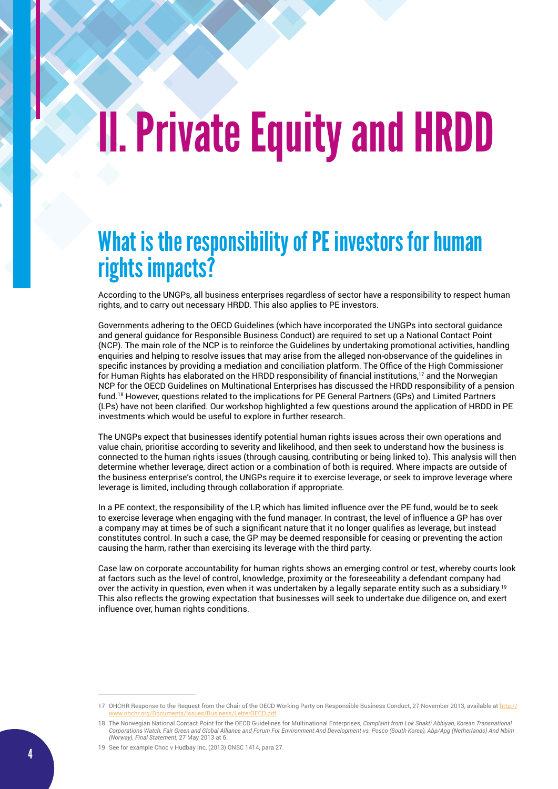# II. Private Equity and HRDD

### What is the responsibility of PE investors for human rights impacts?

According to the UNGPs, all business enterprises regardless of sector have a responsibility to respect human rights, and to carry out necessary HRDD. This also applies to PE investors.

Governments adhering to the OECD Guidelines (which have incorporated the UNGPs into sectoral guidance and general guidance for Responsible Business Conduct) are required to set up a National Contact Point (NCP). The main role of the NCP is to reinforce the Guidelines by undertaking promotional activities, handling enquiries and helping to resolve issues that may arise from the alleged non-observance of the guidelines in specific instances by providing a mediation and conciliation platform. The Office of the High Commissioner for Human Rights has elaborated on the HRDD responsibility of financial institutions,<sup>17</sup> and the Norwegian NCP for the OECD Guidelines on Multinational Enterprises has discussed the HRDD responsibility of a pension fund.18 However, questions related to the implications for PE General Partners (GPs) and Limited Partners (LPs) have not been clarified. Our workshop highlighted a few questions around the application of HRDD in PE investments which would be useful to explore in further research.

The UNGPs expect that businesses identify potential human rights issues across their own operations and value chain, prioritise according to severity and likelihood, and then seek to understand how the business is connected to the human rights issues (through causing, contributing or being linked to). This analysis will then determine whether leverage, direct action or a combination of both is required. Where impacts are outside of the business enterprise's control, the UNGPs require it to exercise leverage, or seek to improve leverage where leverage is limited, including through collaboration if appropriate.

In a PE context, the responsibility of the LP, which has limited influence over the PE fund, would be to seek to exercise leverage when engaging with the fund manager. In contrast, the level of influence a GP has over a company may at times be of such a significant nature that it no longer qualifies as leverage, but instead constitutes control. In such a case, the GP may be deemed responsible for ceasing or preventing the action causing the harm, rather than exercising its leverage with the third party.

Case law on corporate accountability for human rights shows an emerging control or test, whereby courts look at factors such as the level of control, knowledge, proximity or the foreseeability a defendant company had over the activity in question, even when it was undertaken by a legally separate entity such as a subsidiary.<sup>19</sup> This also reflects the growing expectation that businesses will seek to undertake due diligence on, and exert influence over, human rights conditions.

<sup>17</sup> OHCHR Response to the Request from the Chair of the OECD Working Party on Responsible Business Conduct, 27 November 2013, available at [http://](http://www.ohchr.org/Documents/Issues/Business/LetterOECD.pdf) [www.ohchr.org/Documents/Issues/Business/LetterOECD.pdf](http://www.ohchr.org/Documents/Issues/Business/LetterOECD.pdf).

<sup>18</sup> The Norwegian National Contact Point for the OECD Guidelines for Multinational Enterprises, *Complaint from Lok Shakti Abhiyan, Korean Transnational Corporations Watch, Fair Green and Global Alliance and Forum For Environment And Development vs. Posco (South Korea), Abp/Apg (Netherlands) And Nbim (Norway), Final Statement*, 27 May 2013 at 6.

<sup>19</sup> See for example Choc v Hudbay Inc, (2013) ONSC 1414, para 27.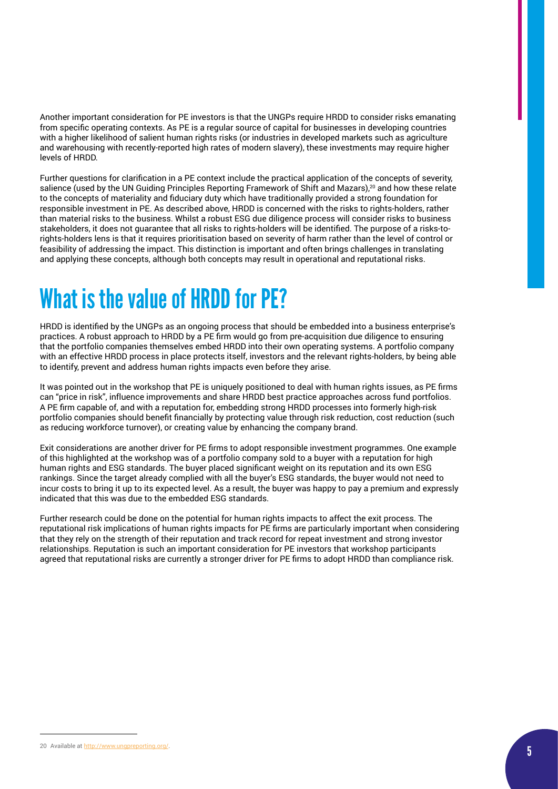Another important consideration for PE investors is that the UNGPs require HRDD to consider risks emanating from specific operating contexts. As PE is a regular source of capital for businesses in developing countries with a higher likelihood of salient human rights risks (or industries in developed markets such as agriculture and warehousing with recently-reported high rates of modern slavery), these investments may require higher levels of HRDD.

Further questions for clarification in a PE context include the practical application of the concepts of severity, salience (used by the UN Guiding Principles Reporting Framework of Shift and Mazars),<sup>20</sup> and how these relate to the concepts of materiality and fiduciary duty which have traditionally provided a strong foundation for responsible investment in PE. As described above, HRDD is concerned with the risks to rights-holders, rather than material risks to the business. Whilst a robust ESG due diligence process will consider risks to business stakeholders, it does not guarantee that all risks to rights-holders will be identified. The purpose of a risks-torights-holders lens is that it requires prioritisation based on severity of harm rather than the level of control or feasibility of addressing the impact. This distinction is important and often brings challenges in translating and applying these concepts, although both concepts may result in operational and reputational risks.

### What is the value of HRDD for PE?

HRDD is identified by the UNGPs as an ongoing process that should be embedded into a business enterprise's practices. A robust approach to HRDD by a PE firm would go from pre-acquisition due diligence to ensuring that the portfolio companies themselves embed HRDD into their own operating systems. A portfolio company with an effective HRDD process in place protects itself, investors and the relevant rights-holders, by being able to identify, prevent and address human rights impacts even before they arise.

It was pointed out in the workshop that PE is uniquely positioned to deal with human rights issues, as PE firms can "price in risk", influence improvements and share HRDD best practice approaches across fund portfolios. A PE firm capable of, and with a reputation for, embedding strong HRDD processes into formerly high-risk portfolio companies should benefit financially by protecting value through risk reduction, cost reduction (such as reducing workforce turnover), or creating value by enhancing the company brand.

Exit considerations are another driver for PE firms to adopt responsible investment programmes. One example of this highlighted at the workshop was of a portfolio company sold to a buyer with a reputation for high human rights and ESG standards. The buyer placed significant weight on its reputation and its own ESG rankings. Since the target already complied with all the buyer's ESG standards, the buyer would not need to incur costs to bring it up to its expected level. As a result, the buyer was happy to pay a premium and expressly indicated that this was due to the embedded ESG standards.

Further research could be done on the potential for human rights impacts to affect the exit process. The reputational risk implications of human rights impacts for PE firms are particularly important when considering that they rely on the strength of their reputation and track record for repeat investment and strong investor relationships. Reputation is such an important consideration for PE investors that workshop participants agreed that reputational risks are currently a stronger driver for PE firms to adopt HRDD than compliance risk.

<sup>20</sup> Available at <http://www.ungpreporting.org/>.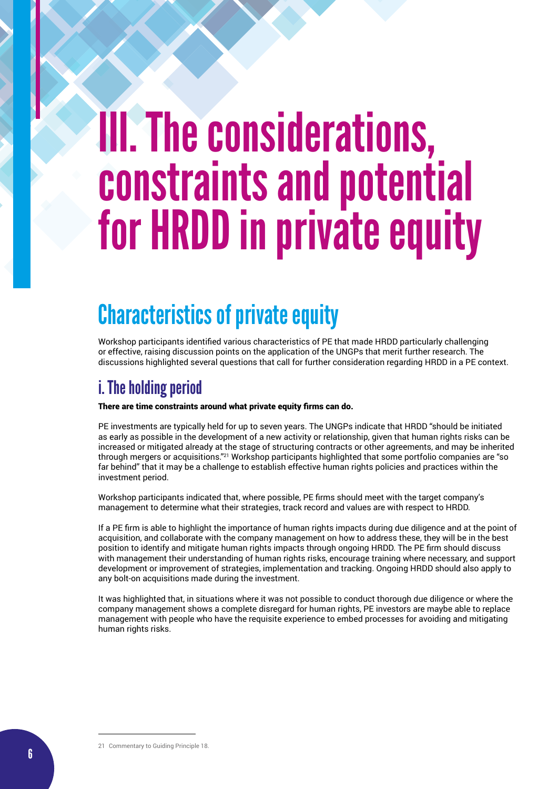## III. The considerations, constraints and potential for HRDD in private equity

### Characteristics of private equity

Workshop participants identified various characteristics of PE that made HRDD particularly challenging or effective, raising discussion points on the application of the UNGPs that merit further research. The discussions highlighted several questions that call for further consideration regarding HRDD in a PE context.

### i. The holding period

#### There are time constraints around what private equity firms can do.

PE investments are typically held for up to seven years. The UNGPs indicate that HRDD "should be initiated as early as possible in the development of a new activity or relationship, given that human rights risks can be increased or mitigated already at the stage of structuring contracts or other agreements, and may be inherited through mergers or acquisitions."21 Workshop participants highlighted that some portfolio companies are "so far behind" that it may be a challenge to establish effective human rights policies and practices within the investment period.

Workshop participants indicated that, where possible, PE firms should meet with the target company's management to determine what their strategies, track record and values are with respect to HRDD.

If a PE firm is able to highlight the importance of human rights impacts during due diligence and at the point of acquisition, and collaborate with the company management on how to address these, they will be in the best position to identify and mitigate human rights impacts through ongoing HRDD. The PE firm should discuss with management their understanding of human rights risks, encourage training where necessary, and support development or improvement of strategies, implementation and tracking. Ongoing HRDD should also apply to any bolt-on acquisitions made during the investment.

It was highlighted that, in situations where it was not possible to conduct thorough due diligence or where the company management shows a complete disregard for human rights, PE investors are maybe able to replace management with people who have the requisite experience to embed processes for avoiding and mitigating human rights risks.

21 Commentary to Guiding Principle 18.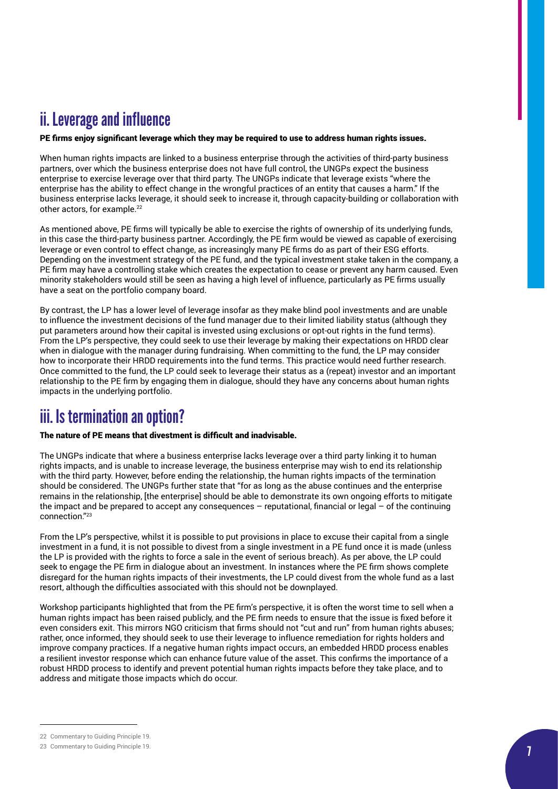### ii. Leverage and influence

PE firms enjoy significant leverage which they may be required to use to address human rights issues.

When human rights impacts are linked to a business enterprise through the activities of third-party business partners, over which the business enterprise does not have full control, the UNGPs expect the business enterprise to exercise leverage over that third party. The UNGPs indicate that leverage exists "where the enterprise has the ability to effect change in the wrongful practices of an entity that causes a harm." If the business enterprise lacks leverage, it should seek to increase it, through capacity-building or collaboration with other actors, for example.<sup>22</sup>

As mentioned above, PE firms will typically be able to exercise the rights of ownership of its underlying funds, in this case the third-party business partner. Accordingly, the PE firm would be viewed as capable of exercising leverage or even control to effect change, as increasingly many PE firms do as part of their ESG efforts. Depending on the investment strategy of the PE fund, and the typical investment stake taken in the company, a PE firm may have a controlling stake which creates the expectation to cease or prevent any harm caused. Even minority stakeholders would still be seen as having a high level of influence, particularly as PE firms usually have a seat on the portfolio company board.

By contrast, the LP has a lower level of leverage insofar as they make blind pool investments and are unable to influence the investment decisions of the fund manager due to their limited liability status (although they put parameters around how their capital is invested using exclusions or opt-out rights in the fund terms). From the LP's perspective, they could seek to use their leverage by making their expectations on HRDD clear when in dialogue with the manager during fundraising. When committing to the fund, the LP may consider how to incorporate their HRDD requirements into the fund terms. This practice would need further research. Once committed to the fund, the LP could seek to leverage their status as a (repeat) investor and an important relationship to the PE firm by engaging them in dialogue, should they have any concerns about human rights impacts in the underlying portfolio.

#### iii. Is termination an option?

#### The nature of PE means that divestment is difficult and inadvisable.

The UNGPs indicate that where a business enterprise lacks leverage over a third party linking it to human rights impacts, and is unable to increase leverage, the business enterprise may wish to end its relationship with the third party. However, before ending the relationship, the human rights impacts of the termination should be considered. The UNGPs further state that "for as long as the abuse continues and the enterprise remains in the relationship, [the enterprise] should be able to demonstrate its own ongoing efforts to mitigate the impact and be prepared to accept any consequences – reputational, financial or legal – of the continuing connection."<sup>23</sup>

From the LP's perspective, whilst it is possible to put provisions in place to excuse their capital from a single investment in a fund, it is not possible to divest from a single investment in a PE fund once it is made (unless the LP is provided with the rights to force a sale in the event of serious breach). As per above, the LP could seek to engage the PE firm in dialogue about an investment. In instances where the PE firm shows complete disregard for the human rights impacts of their investments, the LP could divest from the whole fund as a last resort, although the difficulties associated with this should not be downplayed.

Workshop participants highlighted that from the PE firm's perspective, it is often the worst time to sell when a human rights impact has been raised publicly, and the PE firm needs to ensure that the issue is fixed before it even considers exit. This mirrors NGO criticism that firms should not "cut and run" from human rights abuses; rather, once informed, they should seek to use their leverage to influence remediation for rights holders and improve company practices. If a negative human rights impact occurs, an embedded HRDD process enables a resilient investor response which can enhance future value of the asset. This confirms the importance of a robust HRDD process to identify and prevent potential human rights impacts before they take place, and to address and mitigate those impacts which do occur.

<sup>22</sup> Commentary to Guiding Principle 19.

<sup>23</sup> Commentary to Guiding Principle 19.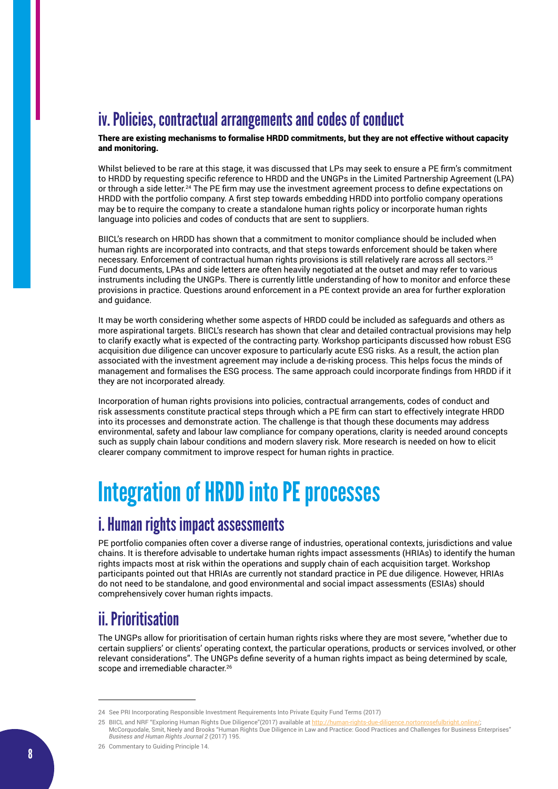### iv. Policies, contractual arrangements and codes of conduct

There are existing mechanisms to formalise HRDD commitments, but they are not effective without capacity and monitoring.

Whilst believed to be rare at this stage, it was discussed that LPs may seek to ensure a PE firm's commitment to HRDD by requesting specific reference to HRDD and the UNGPs in the Limited Partnership Agreement (LPA) or through a side letter.<sup>24</sup> The PE firm may use the investment agreement process to define expectations on HRDD with the portfolio company. A first step towards embedding HRDD into portfolio company operations may be to require the company to create a standalone human rights policy or incorporate human rights language into policies and codes of conducts that are sent to suppliers.

BIICL's research on HRDD has shown that a commitment to monitor compliance should be included when human rights are incorporated into contracts, and that steps towards enforcement should be taken where necessary. Enforcement of contractual human rights provisions is still relatively rare across all sectors.25 Fund documents, LPAs and side letters are often heavily negotiated at the outset and may refer to various instruments including the UNGPs. There is currently little understanding of how to monitor and enforce these provisions in practice. Questions around enforcement in a PE context provide an area for further exploration and guidance.

It may be worth considering whether some aspects of HRDD could be included as safeguards and others as more aspirational targets. BIICL's research has shown that clear and detailed contractual provisions may help to clarify exactly what is expected of the contracting party. Workshop participants discussed how robust ESG acquisition due diligence can uncover exposure to particularly acute ESG risks. As a result, the action plan associated with the investment agreement may include a de-risking process. This helps focus the minds of management and formalises the ESG process. The same approach could incorporate findings from HRDD if it they are not incorporated already.

Incorporation of human rights provisions into policies, contractual arrangements, codes of conduct and risk assessments constitute practical steps through which a PE firm can start to effectively integrate HRDD into its processes and demonstrate action. The challenge is that though these documents may address environmental, safety and labour law compliance for company operations, clarity is needed around concepts such as supply chain labour conditions and modern slavery risk. More research is needed on how to elicit clearer company commitment to improve respect for human rights in practice.

### Integration of HRDD into PE processes

#### i. Human rights impact assessments

PE portfolio companies often cover a diverse range of industries, operational contexts, jurisdictions and value chains. It is therefore advisable to undertake human rights impact assessments (HRIAs) to identify the human rights impacts most at risk within the operations and supply chain of each acquisition target. Workshop participants pointed out that HRIAs are currently not standard practice in PE due diligence. However, HRIAs do not need to be standalone, and good environmental and social impact assessments (ESIAs) should comprehensively cover human rights impacts.

### ii. Prioritisation

The UNGPs allow for prioritisation of certain human rights risks where they are most severe, "whether due to certain suppliers' or clients' operating context, the particular operations, products or services involved, or other relevant considerations". The UNGPs define severity of a human rights impact as being determined by scale, scope and irremediable character.<sup>26</sup>

<sup>24</sup> See PRI Incorporating Responsible Investment Requirements Into Private Equity Fund Terms (2017)

<sup>25</sup> BIICL and NRF "Exploring Human Rights Due Diligence"(2017) available at <http://human-rights-due-diligence.nortonrosefulbright.online/>; McCorquodale, Smit, Neely and Brooks "Human Rights Due Diligence in Law and Practice: Good Practices and Challenges for Business Enterprises" *Business and Human Rights Journal 2* (2017) 195.

<sup>26</sup> Commentary to Guiding Principle 14.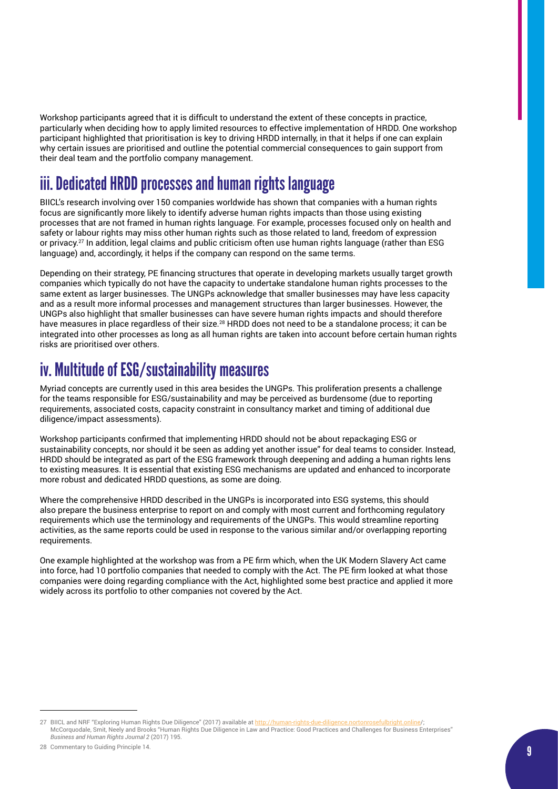Workshop participants agreed that it is difficult to understand the extent of these concepts in practice, particularly when deciding how to apply limited resources to effective implementation of HRDD. One workshop participant highlighted that prioritisation is key to driving HRDD internally, in that it helps if one can explain why certain issues are prioritised and outline the potential commercial consequences to gain support from their deal team and the portfolio company management.

### iii. Dedicated HRDD processes and human rights language

BIICL's research involving over 150 companies worldwide has shown that companies with a human rights focus are significantly more likely to identify adverse human rights impacts than those using existing processes that are not framed in human rights language. For example, processes focused only on health and safety or labour rights may miss other human rights such as those related to land, freedom of expression or privacy.<sup>27</sup> In addition, legal claims and public criticism often use human rights language (rather than ESG language) and, accordingly, it helps if the company can respond on the same terms.

Depending on their strategy, PE financing structures that operate in developing markets usually target growth companies which typically do not have the capacity to undertake standalone human rights processes to the same extent as larger businesses. The UNGPs acknowledge that smaller businesses may have less capacity and as a result more informal processes and management structures than larger businesses. However, the UNGPs also highlight that smaller businesses can have severe human rights impacts and should therefore have measures in place regardless of their size.<sup>28</sup> HRDD does not need to be a standalone process; it can be integrated into other processes as long as all human rights are taken into account before certain human rights risks are prioritised over others.

#### iv. Multitude of ESG/sustainability measures

Myriad concepts are currently used in this area besides the UNGPs. This proliferation presents a challenge for the teams responsible for ESG/sustainability and may be perceived as burdensome (due to reporting requirements, associated costs, capacity constraint in consultancy market and timing of additional due diligence/impact assessments).

Workshop participants confirmed that implementing HRDD should not be about repackaging ESG or sustainability concepts, nor should it be seen as adding yet another issue" for deal teams to consider. Instead, HRDD should be integrated as part of the ESG framework through deepening and adding a human rights lens to existing measures. It is essential that existing ESG mechanisms are updated and enhanced to incorporate more robust and dedicated HRDD questions, as some are doing.

Where the comprehensive HRDD described in the UNGPs is incorporated into ESG systems, this should also prepare the business enterprise to report on and comply with most current and forthcoming regulatory requirements which use the terminology and requirements of the UNGPs. This would streamline reporting activities, as the same reports could be used in response to the various similar and/or overlapping reporting requirements.

One example highlighted at the workshop was from a PE firm which, when the UK Modern Slavery Act came into force, had 10 portfolio companies that needed to comply with the Act. The PE firm looked at what those companies were doing regarding compliance with the Act, highlighted some best practice and applied it more widely across its portfolio to other companies not covered by the Act.

<sup>27</sup> BIICL and NRF "Exploring Human Rights Due Diligence" (2017) available at [http://human-rights-due-diligence.nortonrosefulbright.online/](http://human-rights-due-diligence.nortonrosefulbright.online); McCorquodale, Smit, Neely and Brooks "Human Rights Due Diligence in Law and Practice: Good Practices and Challenges for Business Enterprises" *Business and Human Rights Journal 2* (2017) 195.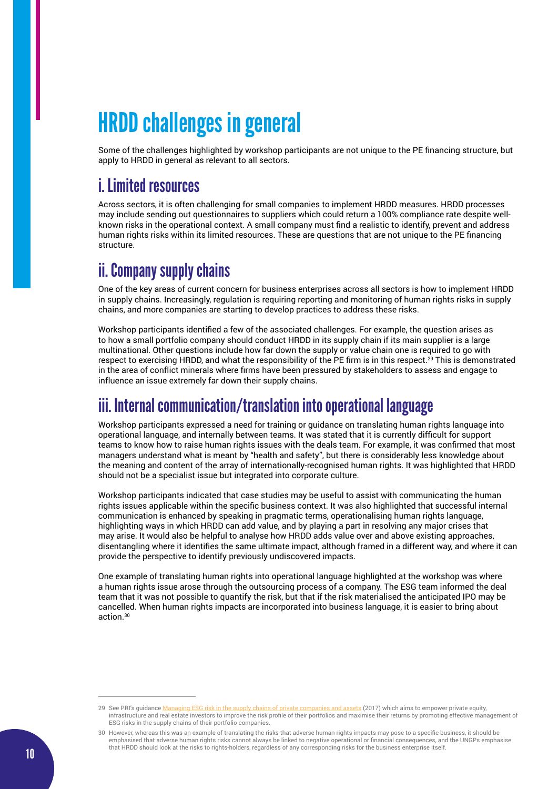### HRDD challenges in general

Some of the challenges highlighted by workshop participants are not unique to the PE financing structure, but apply to HRDD in general as relevant to all sectors.

#### i. Limited resources

Across sectors, it is often challenging for small companies to implement HRDD measures. HRDD processes may include sending out questionnaires to suppliers which could return a 100% compliance rate despite wellknown risks in the operational context. A small company must find a realistic to identify, prevent and address human rights risks within its limited resources. These are questions that are not unique to the PE financing structure.

### ii. Company supply chains

One of the key areas of current concern for business enterprises across all sectors is how to implement HRDD in supply chains. Increasingly, regulation is requiring reporting and monitoring of human rights risks in supply chains, and more companies are starting to develop practices to address these risks.

Workshop participants identified a few of the associated challenges. For example, the question arises as to how a small portfolio company should conduct HRDD in its supply chain if its main supplier is a large multinational. Other questions include how far down the supply or value chain one is required to go with respect to exercising HRDD, and what the responsibility of the PE firm is in this respect.29 This is demonstrated in the area of conflict minerals where firms have been pressured by stakeholders to assess and engage to influence an issue extremely far down their supply chains.

### iii. Internal communication/translation into operational language

Workshop participants expressed a need for training or guidance on translating human rights language into operational language, and internally between teams. It was stated that it is currently difficult for support teams to know how to raise human rights issues with the deals team. For example, it was confirmed that most managers understand what is meant by "health and safety", but there is considerably less knowledge about the meaning and content of the array of internationally-recognised human rights. It was highlighted that HRDD should not be a specialist issue but integrated into corporate culture.

Workshop participants indicated that case studies may be useful to assist with communicating the human rights issues applicable within the specific business context. It was also highlighted that successful internal communication is enhanced by speaking in pragmatic terms, operationalising human rights language, highlighting ways in which HRDD can add value, and by playing a part in resolving any major crises that may arise. It would also be helpful to analyse how HRDD adds value over and above existing approaches, disentangling where it identifies the same ultimate impact, although framed in a different way, and where it can provide the perspective to identify previously undiscovered impacts.

One example of translating human rights into operational language highlighted at the workshop was where a human rights issue arose through the outsourcing process of a company. The ESG team informed the deal team that it was not possible to quantify the risk, but that if the risk materialised the anticipated IPO may be cancelled. When human rights impacts are incorporated into business language, it is easier to bring about action.30

<sup>29</sup> See PRI's guidance [Managing ESG risk in the supply chains of private companies and assets](https://www.unpri.org/download_report/44505) (2017) which aims to empower private equity, infrastructure and real estate investors to improve the risk profile of their portfolios and maximise their returns by promoting effective management of ESG risks in the supply chains of their portfolio companies.

<sup>30</sup> However, whereas this was an example of translating the risks that adverse human rights impacts may pose to a specific business, it should be emphasised that adverse human rights risks cannot always be linked to negative operational or financial consequences, and the UNGPs emphasise that HRDD should look at the risks to rights-holders, regardless of any corresponding risks for the business enterprise itself.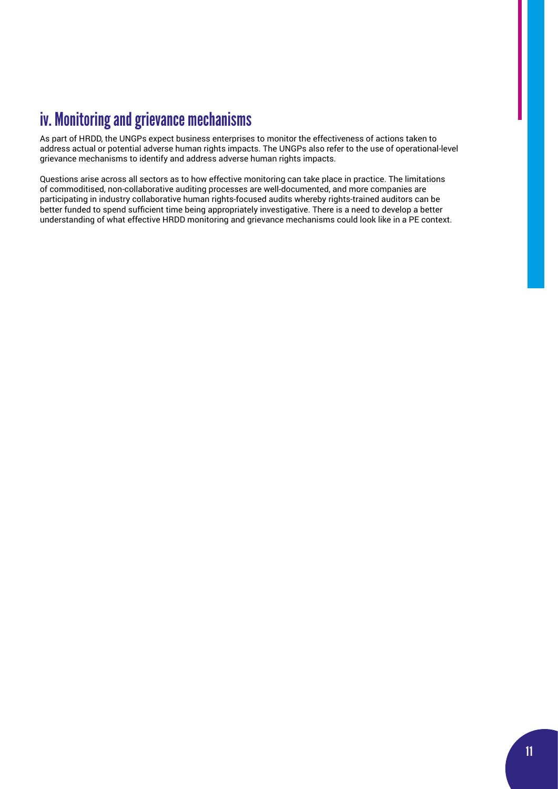### iv. Monitoring and grievance mechanisms

As part of HRDD, the UNGPs expect business enterprises to monitor the effectiveness of actions taken to address actual or potential adverse human rights impacts. The UNGPs also refer to the use of operational-level grievance mechanisms to identify and address adverse human rights impacts.

Questions arise across all sectors as to how effective monitoring can take place in practice. The limitations of commoditised, non-collaborative auditing processes are well-documented, and more companies are participating in industry collaborative human rights-focused audits whereby rights-trained auditors can be better funded to spend sufficient time being appropriately investigative. There is a need to develop a better understanding of what effective HRDD monitoring and grievance mechanisms could look like in a PE context.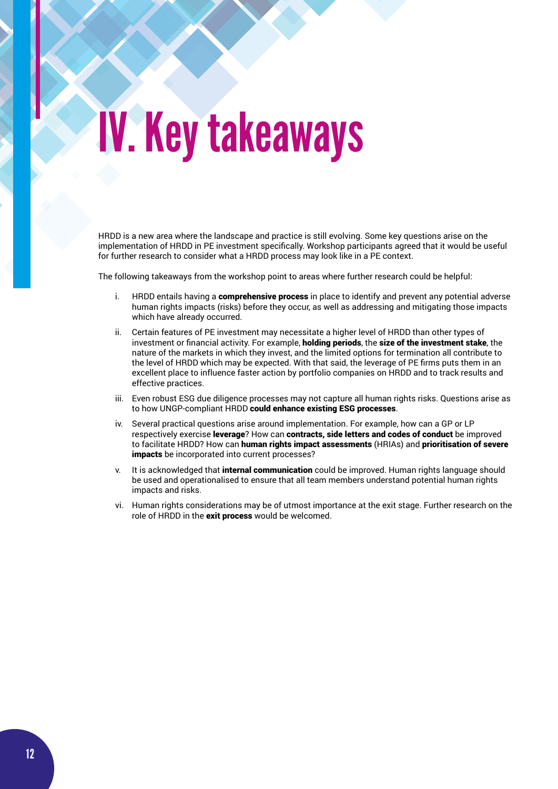# IV. Key takeaways

HRDD is a new area where the landscape and practice is still evolving. Some key questions arise on the implementation of HRDD in PE investment specifically. Workshop participants agreed that it would be useful for further research to consider what a HRDD process may look like in a PE context.

The following takeaways from the workshop point to areas where further research could be helpful:

- i. HRDD entails having a **comprehensive process** in place to identify and prevent any potential adverse human rights impacts (risks) before they occur, as well as addressing and mitigating those impacts which have already occurred.
- ii. Certain features of PE investment may necessitate a higher level of HRDD than other types of investment or financial activity. For example, **holding periods**, the size of the investment stake, the nature of the markets in which they invest, and the limited options for termination all contribute to the level of HRDD which may be expected. With that said, the leverage of PE firms puts them in an excellent place to influence faster action by portfolio companies on HRDD and to track results and effective practices.
- iii. Even robust ESG due diligence processes may not capture all human rights risks. Questions arise as to how UNGP-compliant HRDD could enhance existing ESG processes.
- iv. Several practical questions arise around implementation. For example, how can a GP or LP respectively exercise leverage? How can contracts, side letters and codes of conduct be improved to facilitate HRDD? How can human rights impact assessments (HRIAs) and prioritisation of severe impacts be incorporated into current processes?
- v. It is acknowledged that internal communication could be improved. Human rights language should be used and operationalised to ensure that all team members understand potential human rights impacts and risks.
- vi. Human rights considerations may be of utmost importance at the exit stage. Further research on the role of HRDD in the exit process would be welcomed.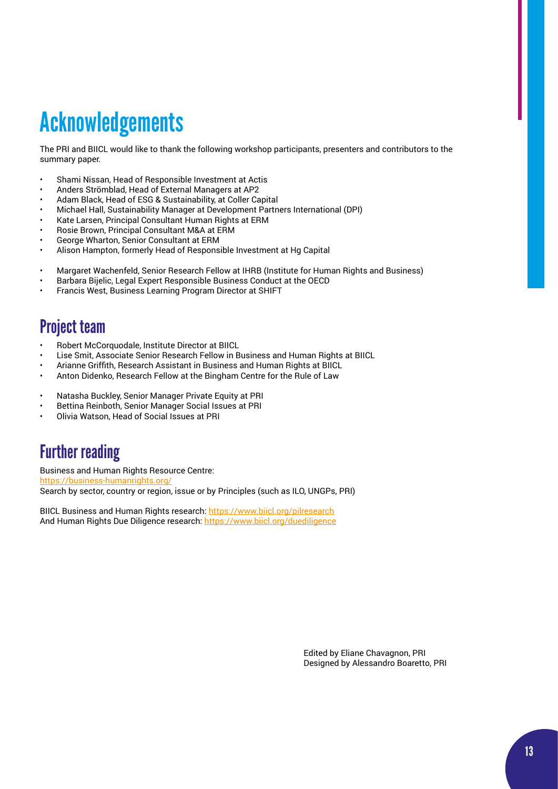## Acknowledgements

The PRI and BIICL would like to thank the following workshop participants, presenters and contributors to the summary paper.

- Shami Nissan, Head of Responsible Investment at Actis
- Anders Strömblad, Head of External Managers at AP2
- Adam Black, Head of ESG & Sustainability, at Coller Capital
- Michael Hall, Sustainability Manager at Development Partners International (DPI)
- Kate Larsen, Principal Consultant Human Rights at ERM
- Rosie Brown, Principal Consultant M&A at ERM
- George Wharton, Senior Consultant at ERM
- Alison Hampton, formerly Head of Responsible Investment at Hg Capital
- Margaret Wachenfeld, Senior Research Fellow at IHRB (Institute for Human Rights and Business)
- Barbara Bijelic, Legal Expert Responsible Business Conduct at the OECD
- Francis West, Business Learning Program Director at SHIFT

#### Project team

- Robert McCorquodale, Institute Director at BIICL
- Lise Smit, Associate Senior Research Fellow in Business and Human Rights at BIICL
- Arianne Griffith, Research Assistant in Business and Human Rights at BIICL
- Anton Didenko, Research Fellow at the Bingham Centre for the Rule of Law
- Natasha Buckley, Senior Manager Private Equity at PRI
- Bettina Reinboth, Senior Manager Social Issues at PRI
- Olivia Watson, Head of Social Issues at PRI

### Further reading

Business and Human Rights Resource Centre: <https://business-humanrights.org/> Search by sector, country or region, issue or by Principles (such as ILO, UNGPs, PRI)

BIICL Business and Human Rights research: <https://www.biicl.org/pilresearch> And Human Rights Due Diligence research: <https://www.biicl.org/duediligence>

> Edited by Eliane Chavagnon, PRI Designed by Alessandro Boaretto, PRI